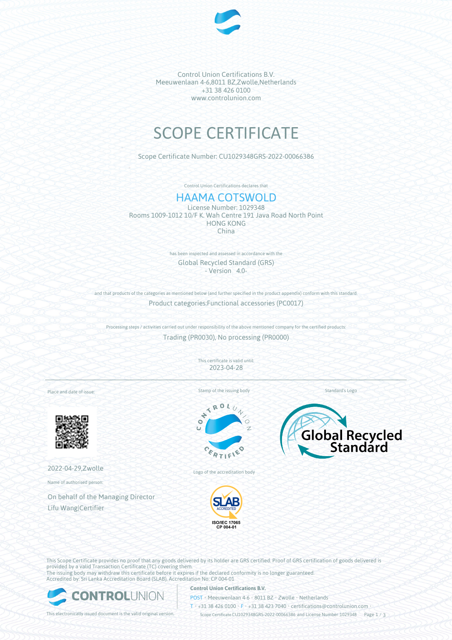

Control Union Certifications B.V. Meeuwenlaan 4-6,8011 BZ,Zwolle,Netherlands +31 38 426 0100 www.controlunion.com

# SCOPE CERTIFICATE

Scope Certificate Number: CU1029348GRS-2022-00066386

Control Union Certifications declares that

# HAAMA COTSWOLD

License Number: 1029348 Rooms 1009-1012 10/F K. Wah Centre 191 Java Road North Point HONG KONG China

> has been inspected and assessed in accordance with the Global Recycled Standard (GRS) - Version 4.0-

and that products of the categories as mentioned below (and further specified in the product appendix) conform with this standard. Product categories:Functional accessories (PC0017)

Processing steps / activities carried out under responsibility of the above mentioned company for the certified products: Trading (PR0030), No processing (PR0000)

> This certificate is valid until: 2023-04-28

Place and date of issue:



2022-04-29,Zwolle

Name of authorised person:

On behalf of the Managing Director Lifu Wang|Certifier

Stamp of the issuing body

 $x_0$ k

E





ISO/IEC 17065<br>CP 004-01

Logo of the accreditation body

This Scope Certificate provides no proof that any goods delivered by its holder are GRS certified. Proof of GRS certification of goods delivered is provided by a valid Transaction Certificate (TC) covering them. The issuing body may withdraw this certificate before it expires if the declared conformity is no longer guaranteed. Accredited by: Sri Lanka Accreditation Board (SLAB), Accreditation No: CP 004-01



### **Control Union Certifications B.V.**

POST • Meeuwenlaan 4-6 • 8011 BZ • Zwolle • Netherlands

T • +31 38 426 0100 • F • +31 38 423 7040 • certifications@controlunion.com •

This electronically issued document is the valid original version. Scope Certificate CU1029348GRS-2022-00066386 and License Number 1029348 Page 1 / 3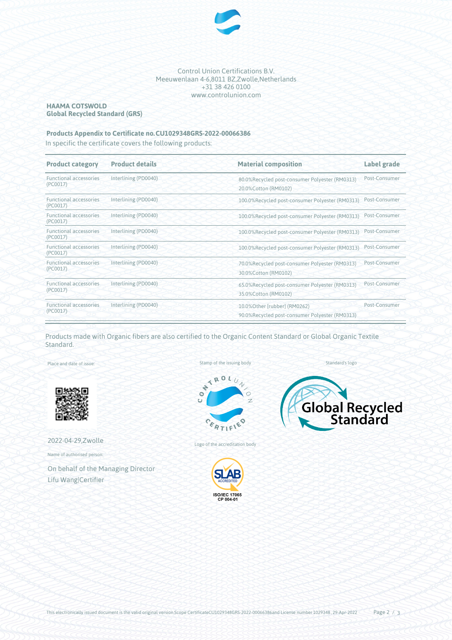

Control Union Certifications B.V. Meeuwenlaan 4-6,8011 BZ,Zwolle,Netherlands +31 38 426 0100 www.controlunion.com

# **HAAMA COTSWOLD Global Recycled Standard (GRS)**

# **Products Appendix to Certificate no.CU1029348GRS-2022-00066386**

In specific the certificate covers the following products:

| <b>Product category</b>                   | <b>Product details</b> | <b>Material composition</b>                                                    | Label grade   |
|-------------------------------------------|------------------------|--------------------------------------------------------------------------------|---------------|
| <b>Functional accessories</b><br>(PC0017) | Interlining (PD0040)   | 80.0%Recycled post-consumer Polyester (RM0313)<br>20.0% Cotton (RM0102)        | Post-Consumer |
| <b>Functional accessories</b><br>(PC0017) | Interlining (PD0040)   | 100.0%Recycled post-consumer Polyester (RM0313)                                | Post-Consumer |
| <b>Functional accessories</b><br>(PC0017) | Interlining (PD0040)   | 100.0%Recycled post-consumer Polyester (RM0313)                                | Post-Consumer |
| <b>Functional accessories</b><br>(PC0017) | Interlining (PD0040)   | 100.0%Recycled post-consumer Polyester (RM0313)                                | Post-Consumer |
| <b>Functional accessories</b><br>(PC0017) | Interlining (PD0040)   | 100.0%Recycled post-consumer Polyester (RM0313)                                | Post-Consumer |
| <b>Functional accessories</b><br>(PC0017) | Interlining (PD0040)   | 70.0%Recycled post-consumer Polyester (RM0313)<br>30.0% Cotton (RM0102)        | Post-Consumer |
| <b>Functional accessories</b><br>(PC0017) | Interlining (PD0040)   | 65.0%Recycled post-consumer Polyester (RM0313)<br>35.0%Cotton (RM0102)         | Post-Consumer |
| <b>Functional accessories</b><br>(PC0017) | Interlining (PD0040)   | 10.0%Other [rubber] (RM0262)<br>90.0%Recycled post-consumer Polyester (RM0313) | Post-Consumer |

Products made with Organic fibers are also certified to the Organic Content Standard or Global Organic Textile Standard.

Place and date of issue:



2022-04-29,Zwolle

Name of authorised person:

On behalf of the Managing Director Lifu Wang|Certifier

Stamp of the issuing body



Logo of the accreditation body





Standard's logo